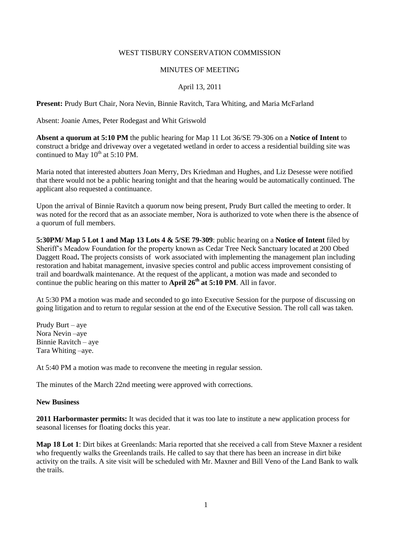### WEST TISBURY CONSERVATION COMMISSION

### MINUTES OF MEETING

## April 13, 2011

**Present:** Prudy Burt Chair, Nora Nevin, Binnie Ravitch, Tara Whiting, and Maria McFarland

Absent: Joanie Ames, Peter Rodegast and Whit Griswold

**Absent a quorum at 5:10 PM** the public hearing for Map 11 Lot 36/SE 79-306 on a **Notice of Intent** to construct a bridge and driveway over a vegetated wetland in order to access a residential building site was continued to May  $10^{th}$  at 5:10 PM.

Maria noted that interested abutters Joan Merry, Drs Kriedman and Hughes, and Liz Desesse were notified that there would not be a public hearing tonight and that the hearing would be automatically continued. The applicant also requested a continuance.

Upon the arrival of Binnie Ravitch a quorum now being present, Prudy Burt called the meeting to order. It was noted for the record that as an associate member, Nora is authorized to vote when there is the absence of a quorum of full members.

**5:30PM/ Map 5 Lot 1 and Map 13 Lots 4 & 5/SE 79-309**: public hearing on a **Notice of Intent** filed by Sheriff's Meadow Foundation for the property known as Cedar Tree Neck Sanctuary located at 200 Obed Daggett Road**.** The projects consists of work associated with implementing the management plan including restoration and habitat management, invasive species control and public access improvement consisting of trail and boardwalk maintenance. At the request of the applicant, a motion was made and seconded to continue the public hearing on this matter to **April 26<sup>th</sup>** at 5:10 PM. All in favor.

At 5:30 PM a motion was made and seconded to go into Executive Session for the purpose of discussing on going litigation and to return to regular session at the end of the Executive Session. The roll call was taken.

Prudy Burt – aye Nora Nevin –aye Binnie Ravitch – aye Tara Whiting –aye.

At 5:40 PM a motion was made to reconvene the meeting in regular session.

The minutes of the March 22nd meeting were approved with corrections.

#### **New Business**

**2011 Harbormaster permits:** It was decided that it was too late to institute a new application process for seasonal licenses for floating docks this year.

**Map 18 Lot 1**: Dirt bikes at Greenlands: Maria reported that she received a call from Steve Maxner a resident who frequently walks the Greenlands trails. He called to say that there has been an increase in dirt bike activity on the trails. A site visit will be scheduled with Mr. Maxner and Bill Veno of the Land Bank to walk the trails.